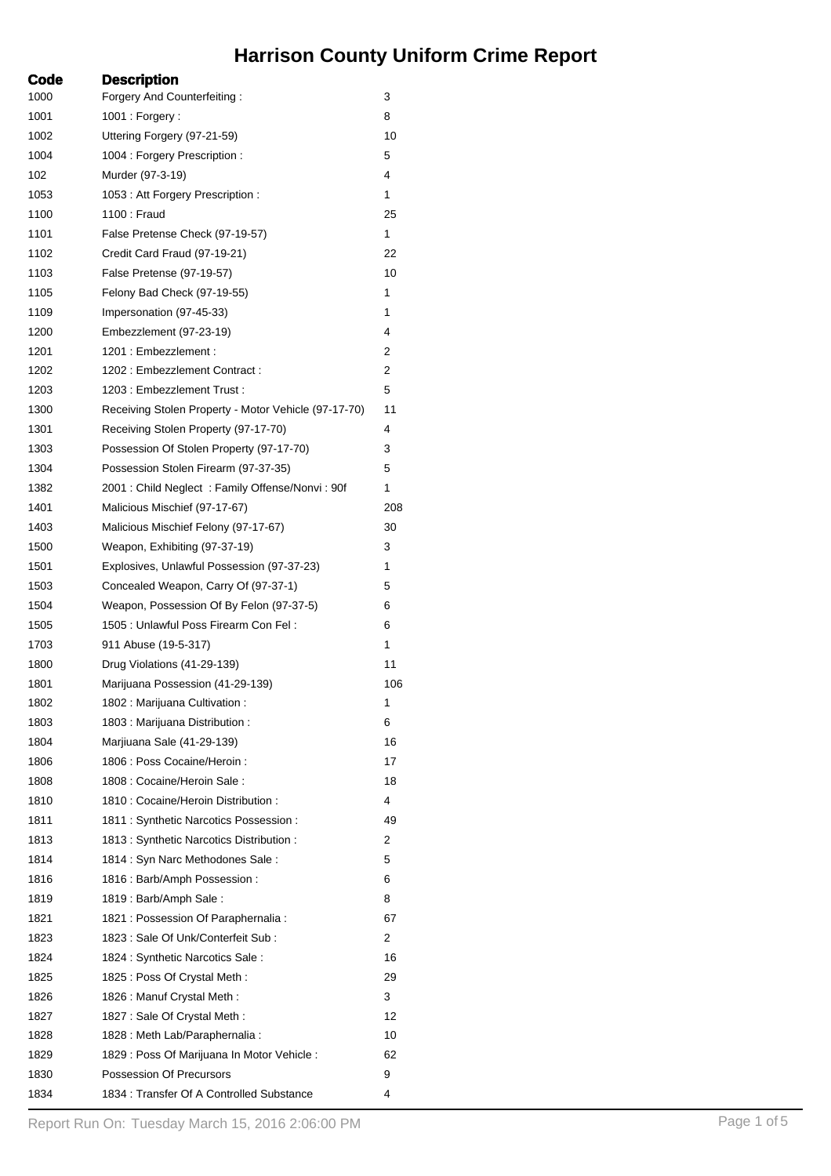## **Harrison County Uniform Crime Report**

| Code | <b>Description</b>                                   |     |
|------|------------------------------------------------------|-----|
| 1000 | Forgery And Counterfeiting:                          | 3   |
| 1001 | $1001:$ Forgery:                                     | 8   |
| 1002 | Uttering Forgery (97-21-59)                          | 10  |
| 1004 | 1004 : Forgery Prescription :                        | 5   |
| 102  | Murder (97-3-19)                                     | 4   |
| 1053 | 1053 : Att Forgery Prescription :                    | 1   |
| 1100 | 1100 : Fraud                                         | 25  |
| 1101 | False Pretense Check (97-19-57)                      | 1   |
| 1102 | Credit Card Fraud (97-19-21)                         | 22  |
| 1103 | False Pretense (97-19-57)                            | 10  |
| 1105 | Felony Bad Check (97-19-55)                          | 1   |
| 1109 | Impersonation (97-45-33)                             | 1   |
| 1200 | Embezzlement (97-23-19)                              | 4   |
| 1201 | 1201 : Embezzlement :                                | 2   |
| 1202 | 1202: Embezzlement Contract:                         | 2   |
| 1203 | 1203 : Embezzlement Trust :                          | 5   |
| 1300 | Receiving Stolen Property - Motor Vehicle (97-17-70) | 11  |
| 1301 | Receiving Stolen Property (97-17-70)                 | 4   |
| 1303 | Possession Of Stolen Property (97-17-70)             | 3   |
| 1304 | Possession Stolen Firearm (97-37-35)                 | 5   |
| 1382 | 2001 : Child Neglect : Family Offense/Nonvi : 90f    | 1   |
| 1401 | Malicious Mischief (97-17-67)                        | 208 |
| 1403 | Malicious Mischief Felony (97-17-67)                 | 30  |
| 1500 | Weapon, Exhibiting (97-37-19)                        | 3   |
| 1501 | Explosives, Unlawful Possession (97-37-23)           | 1   |
| 1503 | Concealed Weapon, Carry Of (97-37-1)                 | 5   |
| 1504 | Weapon, Possession Of By Felon (97-37-5)             | 6   |
| 1505 | 1505 : Unlawful Poss Firearm Con Fel :               | 6   |
| 1703 | 911 Abuse (19-5-317)                                 | 1   |
| 1800 | Drug Violations (41-29-139)                          | 11  |
| 1801 | Marijuana Possession (41-29-139)                     | 106 |
| 1802 | 1802 : Marijuana Cultivation :                       | 1   |
| 1803 | 1803 : Marijuana Distribution :                      | 6   |
| 1804 | Marjiuana Sale (41-29-139)                           | 16  |
| 1806 | 1806 : Poss Cocaine/Heroin :                         | 17  |
| 1808 | 1808 : Cocaine/Heroin Sale :                         | 18  |
| 1810 | 1810 : Cocaine/Heroin Distribution :                 | 4   |
| 1811 | 1811 : Synthetic Narcotics Possession :              | 49  |
| 1813 | 1813 : Synthetic Narcotics Distribution :            | 2   |
| 1814 | 1814 : Syn Narc Methodones Sale :                    | 5   |
|      | 1816 : Barb/Amph Possession :                        | 6   |
| 1816 |                                                      | 8   |
| 1819 | 1819 : Barb/Amph Sale :                              |     |
| 1821 | 1821 : Possession Of Paraphernalia :                 | 67  |
| 1823 | 1823 : Sale Of Unk/Conterfeit Sub :                  | 2   |
| 1824 | 1824 : Synthetic Narcotics Sale :                    | 16  |
| 1825 | 1825 : Poss Of Crystal Meth :                        | 29  |
| 1826 | 1826 : Manuf Crystal Meth :                          | 3   |
| 1827 | 1827 : Sale Of Crystal Meth :                        | 12  |
| 1828 | 1828 : Meth Lab/Paraphernalia :                      | 10  |
| 1829 | 1829 : Poss Of Marijuana In Motor Vehicle :          | 62  |
| 1830 | <b>Possession Of Precursors</b>                      | 9   |
| 1834 | 1834 : Transfer Of A Controlled Substance            | 4   |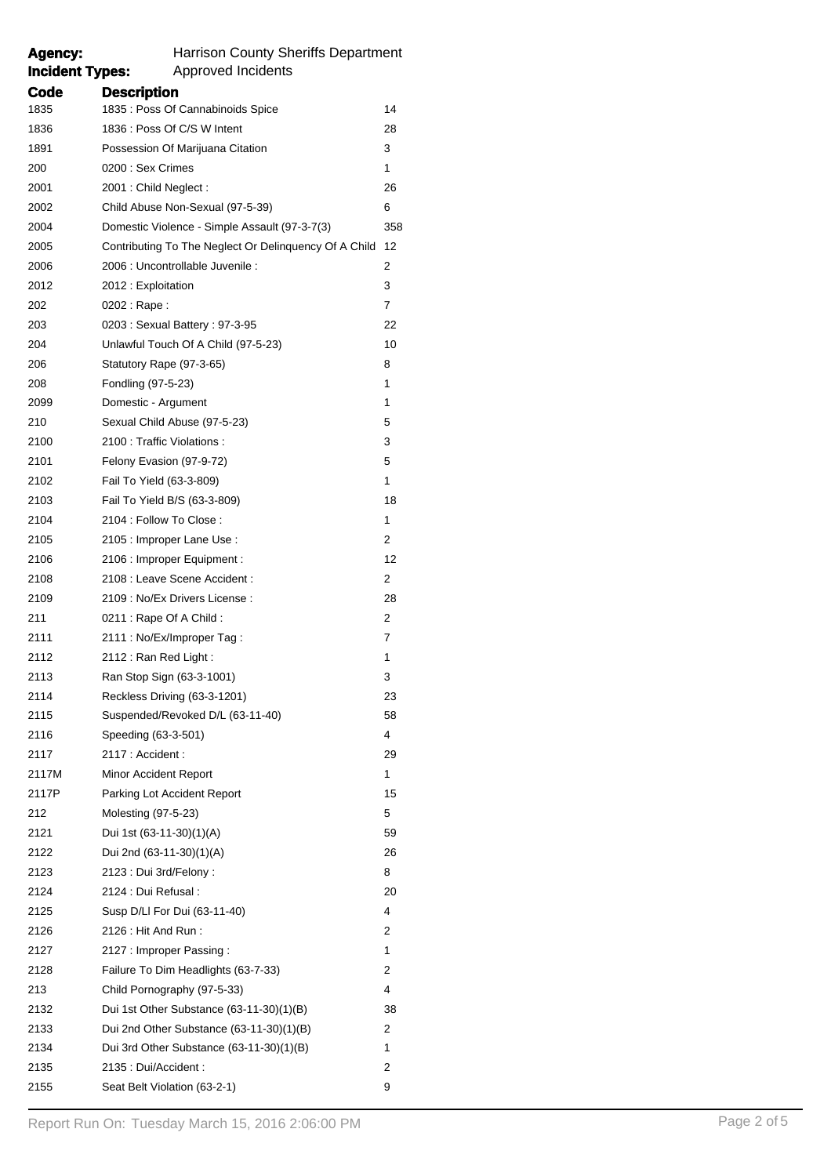| Agency: | <b>Harrison County Sheriffs Department</b>            |     |  |  |
|---------|-------------------------------------------------------|-----|--|--|
|         | <b>Incident Types:</b><br><b>Approved Incidents</b>   |     |  |  |
| Code    | <b>Description</b>                                    |     |  |  |
| 1835    | 1835 : Poss Of Cannabinoids Spice                     | 14  |  |  |
| 1836    | 1836 : Poss Of C/S W Intent                           | 28  |  |  |
| 1891    | Possession Of Marijuana Citation                      | 3   |  |  |
| 200     | 0200 : Sex Crimes                                     | 1   |  |  |
| 2001    | 2001 : Child Neglect :                                | 26  |  |  |
| 2002    | Child Abuse Non-Sexual (97-5-39)                      | 6   |  |  |
| 2004    | Domestic Violence - Simple Assault (97-3-7(3)         | 358 |  |  |
| 2005    | Contributing To The Neglect Or Delinquency Of A Child | 12  |  |  |
| 2006    | 2006 : Uncontrollable Juvenile :                      | 2   |  |  |
| 2012    | 2012 : Exploitation                                   | 3   |  |  |
| 202     | 0202 : Rape :                                         | 7   |  |  |
| 203     | 0203: Sexual Battery: 97-3-95                         | 22  |  |  |
| 204     | Unlawful Touch Of A Child (97-5-23)                   | 10  |  |  |
| 206     | Statutory Rape (97-3-65)                              | 8   |  |  |
| 208     | Fondling (97-5-23)                                    | 1   |  |  |
| 2099    | Domestic - Argument                                   | 1   |  |  |
| 210     | Sexual Child Abuse (97-5-23)                          | 5   |  |  |
| 2100    | 2100 : Traffic Violations :                           | 3   |  |  |
| 2101    | Felony Evasion (97-9-72)                              | 5   |  |  |
| 2102    | Fail To Yield (63-3-809)                              | 1   |  |  |
| 2103    | Fail To Yield B/S (63-3-809)                          | 18  |  |  |
| 2104    | 2104 : Follow To Close :                              | 1   |  |  |
| 2105    | 2105 : Improper Lane Use :                            | 2   |  |  |
| 2106    | 2106 : Improper Equipment :                           | 12  |  |  |
| 2108    | 2108 : Leave Scene Accident :                         | 2   |  |  |
| 2109    | 2109 : No/Ex Drivers License :                        | 28  |  |  |
| 211     | 0211 : Rape Of A Child :                              | 2   |  |  |
| 2111    | 2111 : No/Ex/Improper Tag :                           | 7   |  |  |
| 2112    | 2112: Ran Red Light:                                  | 1   |  |  |
| 2113    | Ran Stop Sign (63-3-1001)                             | 3   |  |  |
| 2114    | Reckless Driving (63-3-1201)                          | 23  |  |  |
| 2115    | Suspended/Revoked D/L (63-11-40)                      | 58  |  |  |
| 2116    | Speeding (63-3-501)                                   | 4   |  |  |
| 2117    | 2117 : Accident :                                     | 29  |  |  |
| 2117M   | Minor Accident Report                                 | 1   |  |  |
| 2117P   | Parking Lot Accident Report                           | 15  |  |  |
| 212     | Molesting (97-5-23)                                   | 5   |  |  |
| 2121    | Dui 1st (63-11-30)(1)(A)                              | 59  |  |  |
| 2122    | Dui 2nd (63-11-30)(1)(A)                              | 26  |  |  |
| 2123    | 2123 : Dui 3rd/Felony :                               | 8   |  |  |
| 2124    | 2124 : Dui Refusal :                                  | 20  |  |  |
| 2125    | Susp D/LI For Dui (63-11-40)                          | 4   |  |  |
| 2126    | 2126 : Hit And Run :                                  | 2   |  |  |
| 2127    | 2127 : Improper Passing :                             | 1   |  |  |
| 2128    | Failure To Dim Headlights (63-7-33)                   | 2   |  |  |
| 213     | Child Pornography (97-5-33)                           | 4   |  |  |
| 2132    | Dui 1st Other Substance (63-11-30)(1)(B)              | 38  |  |  |
| 2133    | Dui 2nd Other Substance (63-11-30)(1)(B)              | 2   |  |  |
| 2134    | Dui 3rd Other Substance (63-11-30)(1)(B)              | 1   |  |  |
| 2135    | 2135 : Dui/Accident :                                 | 2   |  |  |
| 2155    | Seat Belt Violation (63-2-1)                          | 9   |  |  |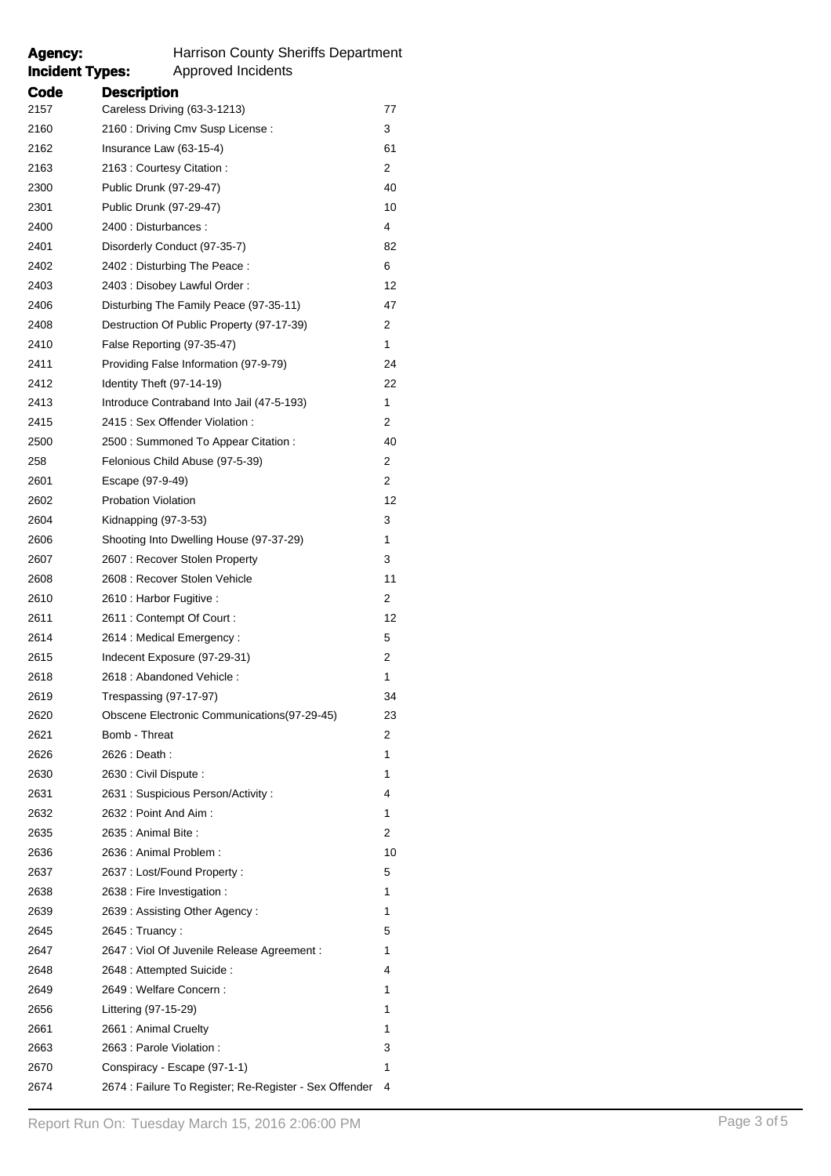## Agency: Harrison County Sheriffs Department<br> **Incident Types:** Approved Incidents **Incident Types:** Approved Incidents

| arrison County Sheriffs Departme |  |
|----------------------------------|--|
| المفمر مامناه مراراته مراجعات    |  |

| Code | <b>Description</b>                                     |    |
|------|--------------------------------------------------------|----|
| 2157 | Careless Driving (63-3-1213)                           | 77 |
| 2160 | 2160 : Driving Cmv Susp License :                      | 3  |
| 2162 | Insurance Law (63-15-4)                                | 61 |
| 2163 | 2163 : Courtesy Citation :                             | 2  |
| 2300 | Public Drunk (97-29-47)                                | 40 |
| 2301 | Public Drunk (97-29-47)                                | 10 |
| 2400 | 2400 : Disturbances :                                  | 4  |
| 2401 | Disorderly Conduct (97-35-7)                           | 82 |
| 2402 | 2402: Disturbing The Peace:                            | 6  |
| 2403 | 2403 : Disobey Lawful Order :                          | 12 |
| 2406 | Disturbing The Family Peace (97-35-11)                 | 47 |
| 2408 | Destruction Of Public Property (97-17-39)              | 2  |
| 2410 | False Reporting (97-35-47)                             | 1  |
| 2411 | Providing False Information (97-9-79)                  | 24 |
| 2412 | Identity Theft (97-14-19)                              | 22 |
| 2413 | Introduce Contraband Into Jail (47-5-193)              | 1  |
| 2415 | 2415 : Sex Offender Violation :                        | 2  |
| 2500 | 2500 : Summoned To Appear Citation :                   | 40 |
| 258  | Felonious Child Abuse (97-5-39)                        | 2  |
| 2601 | Escape (97-9-49)                                       | 2  |
| 2602 | <b>Probation Violation</b>                             | 12 |
| 2604 | Kidnapping (97-3-53)                                   | 3  |
| 2606 | Shooting Into Dwelling House (97-37-29)                | 1  |
| 2607 | 2607: Recover Stolen Property                          | 3  |
| 2608 | 2608 : Recover Stolen Vehicle                          | 11 |
| 2610 | 2610 : Harbor Fugitive :                               | 2  |
| 2611 | 2611 : Contempt Of Court :                             | 12 |
| 2614 | 2614 : Medical Emergency :                             | 5  |
| 2615 | Indecent Exposure (97-29-31)                           | 2  |
| 2618 | 2618 : Abandoned Vehicle :                             | 1  |
| 2619 | Trespassing (97-17-97)                                 | 34 |
| 2620 | Obscene Electronic Communications(97-29-45)            | 23 |
| 2621 | Bomb - Threat                                          | 2  |
| 2626 | 2626 : Death :                                         | 1  |
| 2630 | 2630 : Civil Dispute :                                 | 1  |
| 2631 | 2631 : Suspicious Person/Activity :                    | 4  |
| 2632 | 2632 : Point And Aim :                                 | 1  |
| 2635 | 2635 : Animal Bite :                                   | 2  |
| 2636 | 2636 : Animal Problem :                                | 10 |
| 2637 | 2637 : Lost/Found Property :                           | 5  |
| 2638 | 2638 : Fire Investigation :                            | 1  |
| 2639 | 2639: Assisting Other Agency:                          | 1  |
| 2645 | 2645 : Truancy :                                       | 5  |
| 2647 | 2647 : Viol Of Juvenile Release Agreement :            | 1  |
| 2648 | 2648 : Attempted Suicide :                             | 4  |
| 2649 | 2649 : Welfare Concern :                               | 1  |
| 2656 | Littering (97-15-29)                                   | 1  |
| 2661 | 2661 : Animal Cruelty                                  | 1  |
| 2663 | 2663 : Parole Violation :                              | 3  |
| 2670 | Conspiracy - Escape (97-1-1)                           | 1  |
| 2674 | 2674 : Failure To Register; Re-Register - Sex Offender | 4  |
|      |                                                        |    |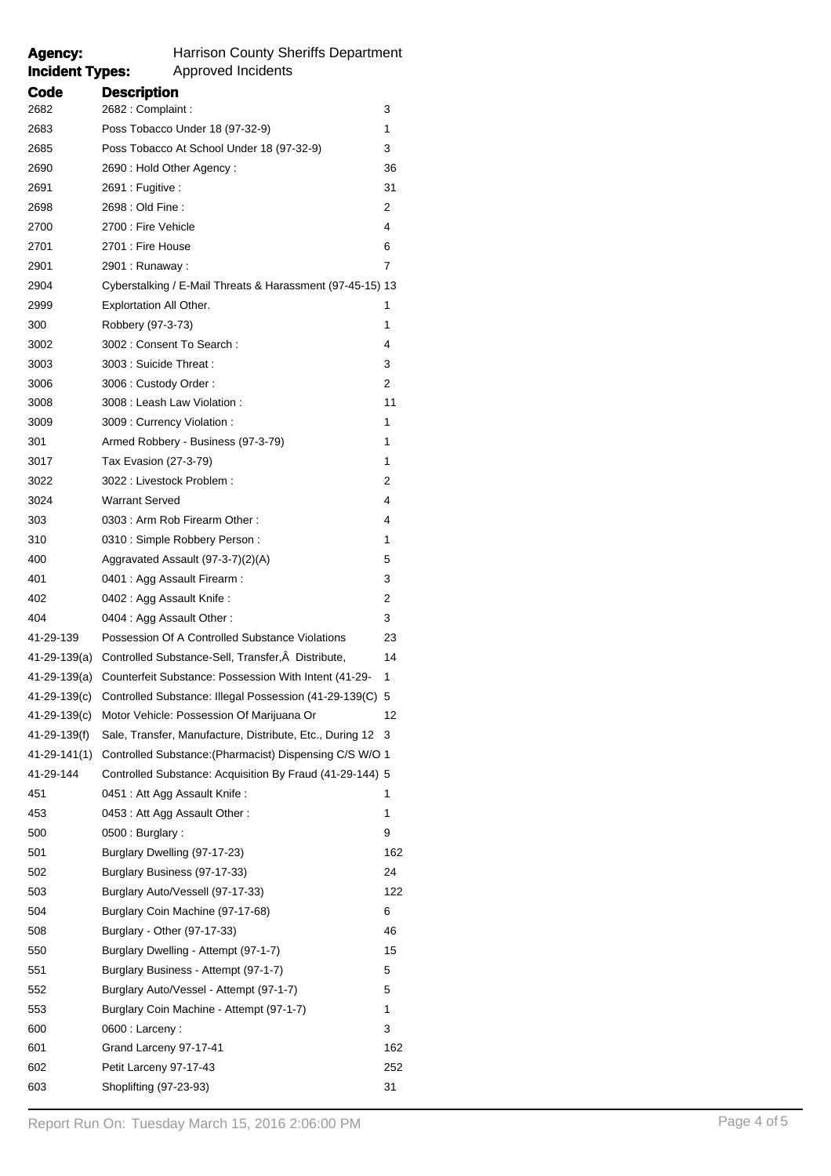## Agency: Harrison County Sheriffs Department<br> **Incident Types:** Approved Incidents **Approved Incidents**

| Code         | <b>Description</b>                                                    |     |
|--------------|-----------------------------------------------------------------------|-----|
| 2682         | 2682 : Complaint :                                                    | 3   |
| 2683         | Poss Tobacco Under 18 (97-32-9)                                       | 1   |
| 2685         | Poss Tobacco At School Under 18 (97-32-9)                             | 3   |
| 2690         | 2690 : Hold Other Agency :                                            | 36  |
| 2691         | 2691 : Fugitive :                                                     | 31  |
| 2698         | 2698 : Old Fine :                                                     | 2   |
| 2700         | 2700 : Fire Vehicle                                                   | 4   |
| 2701         | 2701 : Fire House                                                     | 6   |
| 2901         | 2901 : Runaway :                                                      | 7   |
| 2904         | Cyberstalking / E-Mail Threats & Harassment (97-45-15) 13             |     |
| 2999         | Explortation All Other.                                               | 1   |
| 300          | Robbery (97-3-73)                                                     | 1   |
| 3002         | 3002 : Consent To Search :                                            | 4   |
| 3003         | 3003 : Suicide Threat :                                               | 3   |
| 3006         | 3006 : Custody Order :                                                | 2   |
| 3008         | 3008 : Leash Law Violation :                                          | 11  |
| 3009         | 3009 : Currency Violation :                                           | 1   |
| 301          | Armed Robbery - Business (97-3-79)                                    | 1   |
| 3017         | Tax Evasion (27-3-79)                                                 | 1   |
| 3022         | 3022 : Livestock Problem :                                            | 2   |
| 3024         | <b>Warrant Served</b>                                                 | 4   |
| 303          | 0303 : Arm Rob Firearm Other :                                        | 4   |
| 310          | 0310 : Simple Robbery Person :                                        | 1   |
| 400          | Aggravated Assault (97-3-7)(2)(A)                                     | 5   |
| 401          | 0401 : Agg Assault Firearm :                                          | 3   |
| 402          | 0402 : Agg Assault Knife :                                            | 2   |
| 404          | 0404 : Agg Assault Other :                                            | 3   |
| 41-29-139    | Possession Of A Controlled Substance Violations                       | 23  |
|              | 41-29-139(a) Controlled Substance-Sell, Transfer, A Distribute,       | 14  |
|              | 41-29-139(a) Counterfeit Substance: Possession With Intent (41-29-    | 1   |
|              | 41-29-139(c) Controlled Substance: Illegal Possession (41-29-139(C) 5 |     |
| 41-29-139(c) | Motor Vehicle: Possession Of Marijuana Or                             | 12  |
| 41-29-139(f) | Sale, Transfer, Manufacture, Distribute, Etc., During 12              | 3   |
| 41-29-141(1) | Controlled Substance: (Pharmacist) Dispensing C/S W/O 1               |     |
| 41-29-144    | Controlled Substance: Acquisition By Fraud (41-29-144) 5              |     |
| 451          | 0451 : Att Agg Assault Knife :                                        | 1   |
| 453          | 0453: Att Agg Assault Other:                                          | 1   |
| 500          | 0500: Burglary:                                                       | 9   |
| 501          | Burglary Dwelling (97-17-23)                                          | 162 |
| 502          | Burglary Business (97-17-33)                                          | 24  |
| 503          | Burglary Auto/Vessell (97-17-33)                                      | 122 |
| 504          | Burglary Coin Machine (97-17-68)                                      | 6   |
| 508          | Burglary - Other (97-17-33)                                           | 46  |
| 550          | Burglary Dwelling - Attempt (97-1-7)                                  | 15  |
| 551          | Burglary Business - Attempt (97-1-7)                                  | 5   |
| 552          | Burglary Auto/Vessel - Attempt (97-1-7)                               | 5   |
| 553          | Burglary Coin Machine - Attempt (97-1-7)                              | 1   |
| 600          | $0600:$ Larceny:                                                      | 3   |
| 601          | Grand Larceny 97-17-41                                                | 162 |
| 602          | Petit Larceny 97-17-43                                                | 252 |
| 603          | Shoplifting (97-23-93)                                                | 31  |